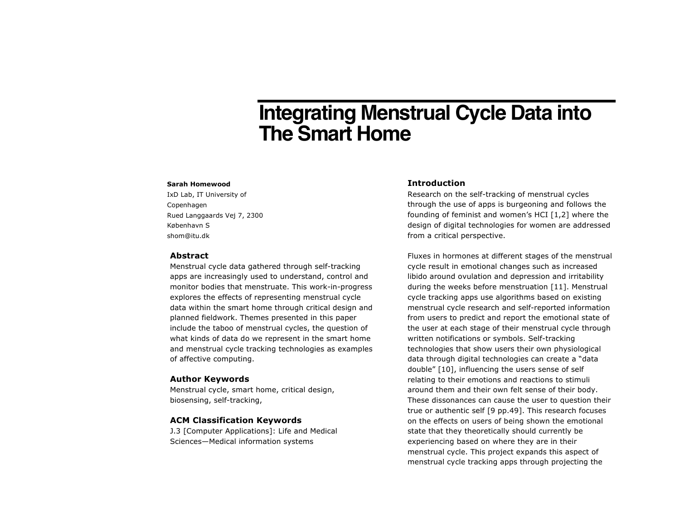# **Integrating Menstrual Cycle Data into The Smart Home**

#### **Sarah Homewood**

IxD Lab, IT University of Copenhagen Rued Langgaards Vej 7, 2300 København S shom@itu.dk

## **Abstract**

Menstrual cycle data gathered through self-tracking apps are increasingly used to understand, control and monitor bodies that menstruate. This work-in-progress explores the effects of representing menstrual cycle data within the smart home through critical design and planned fieldwork. Themes presented in this paper include the taboo of menstrual cycles, the question of what kinds of data do we represent in the smart home and menstrual cycle tracking technologies as examples of affective computing.

#### **Author Keywords**

Menstrual cycle, smart home, critical design, biosensing, self-tracking,

#### **ACM Classification Keywords**

J.3 [Computer Applications]: Life and Medical Sciences—Medical information systems

## **Introduction**

Research on the self-tracking of menstrual cycles through the use of apps is burgeoning and follows the founding of feminist and women's HCI [1,2] where the design of digital technologies for women are addressed from a critical perspective.

Fluxes in hormones at different stages of the menstrual cycle result in emotional changes such as increased libido around ovulation and depression and irritability during the weeks before menstruation [11]. Menstrual cycle tracking apps use algorithms based on existing menstrual cycle research and self-reported information from users to predict and report the emotional state of the user at each stage of their menstrual cycle through written notifications or symbols. Self-tracking technologies that show users their own physiological data through digital technologies can create a "data double" [10], influencing the users sense of self relating to their emotions and reactions to stimuli around them and their own felt sense of their body. These dissonances can cause the user to question their true or authentic self [9 pp.49]. This research focuses on the effects on users of being shown the emotional state that they theoretically should currently be experiencing based on where they are in their menstrual cycle. This project expands this aspect of menstrual cycle tracking apps through projecting the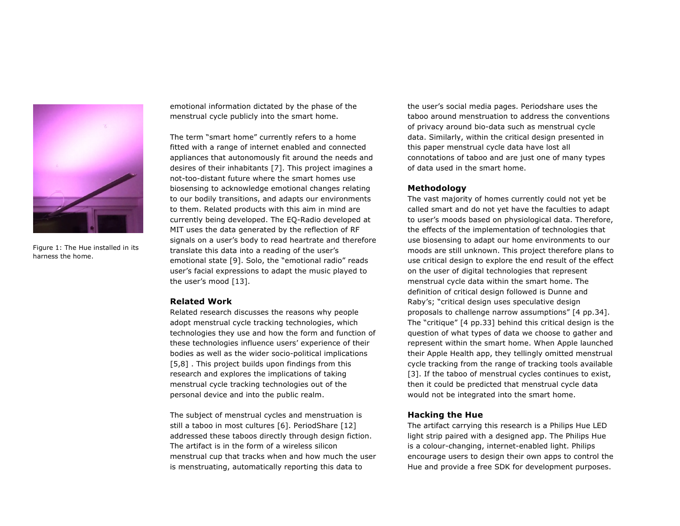

Figure 1: The Hue installed in its harness the home.

emotional information dictated by the phase of the menstrual cycle publicly into the smart home.

The term "smart home" currently refers to a home fitted with a range of internet enabled and connected appliances that autonomously fit around the needs and desires of their inhabitants [7]. This project imagines a not-too-distant future where the smart homes use biosensing to acknowledge emotional changes relating to our bodily transitions, and adapts our environments to them. Related products with this aim in mind are currently being developed. The EQ-Radio developed at MIT uses the data generated by the reflection of RF signals on a user's body to read heartrate and therefore translate this data into a reading of the user's emotional state [9]. Solo, the "emotional radio" reads user's facial expressions to adapt the music played to the user's mood [13].

#### **Related Work**

Related research discusses the reasons why people adopt menstrual cycle tracking technologies, which technologies they use and how the form and function of these technologies influence users' experience of their bodies as well as the wider socio-political implications [5,8]. This project builds upon findings from this research and explores the implications of taking menstrual cycle tracking technologies out of the personal device and into the public realm.

The subject of menstrual cycles and menstruation is still a taboo in most cultures [6]. PeriodShare [12] addressed these taboos directly through design fiction. The artifact is in the form of a wireless silicon menstrual cup that tracks when and how much the user is menstruating, automatically reporting this data to

the user's social media pages. Periodshare uses the taboo around menstruation to address the conventions of privacy around bio-data such as menstrual cycle data. Similarly, within the critical design presented in this paper menstrual cycle data have lost all connotations of taboo and are just one of many types of data used in the smart home.

# **Methodology**

The vast majority of homes currently could not yet be called smart and do not yet have the faculties to adapt to user's moods based on physiological data. Therefore, the effects of the implementation of technologies that use biosensing to adapt our home environments to our moods are still unknown. This project therefore plans to use critical design to explore the end result of the effect on the user of digital technologies that represent menstrual cycle data within the smart home. The definition of critical design followed is Dunne and Raby's; "critical design uses speculative design proposals to challenge narrow assumptions" [4 pp.34]. The "critique" [4 pp.33] behind this critical design is the question of what types of data we choose to gather and represent within the smart home. When Apple launched their Apple Health app, they tellingly omitted menstrual cycle tracking from the range of tracking tools available [3]. If the taboo of menstrual cycles continues to exist, then it could be predicted that menstrual cycle data would not be integrated into the smart home.

## **Hacking the Hue**

The artifact carrying this research is a Philips Hue LED light strip paired with a designed app. The Philips Hue is a colour-changing, internet-enabled light. Philips encourage users to design their own apps to control the Hue and provide a free SDK for development purposes.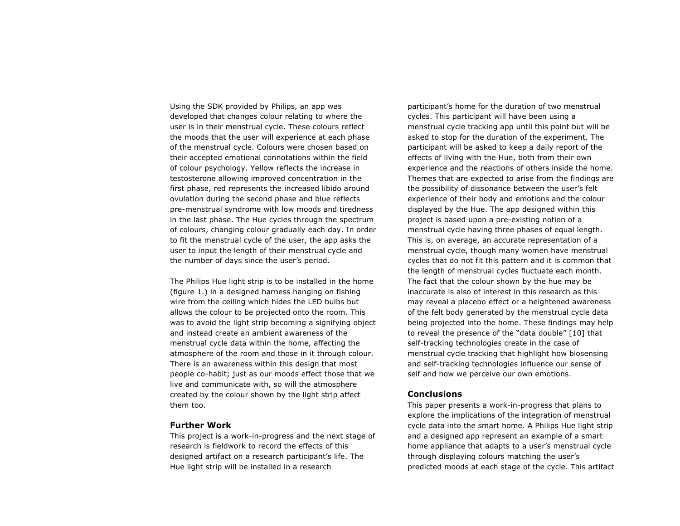Using the SDK provided by Philips, an app was developed that changes colour relating to where the user is in their menstrual cycle. These colours reflect the moods that the user will experience at each phase of the menstrual cycle. Colours were chosen based on their accepted emotional connotations within the field of colour psychology. Yellow reflects the increase in testosterone allowing improved concentration in the first phase, red represents the increased libido around ovulation during the second phase and blue reflects pre-menstrual syndrome with low moods and tiredness in the last phase. The Hue cycles through the spectrum of colours, changing colour gradually each day. In order to fit the menstrual cycle of the user, the app asks the user to input the length of their menstrual cycle and the number of days since the user's period.

The Philips Hue light strip is to be installed in the home (figure 1.) in a designed harness hanging on fishing wire from the ceiling which hides the LED bulbs but allows the colour to be projected onto the room. This was to avoid the light strip becoming a signifying object and instead create an ambient awareness of the menstrual cycle data within the home, affecting the atmosphere of the room and those in it through colour. There is an awareness within this design that most people co-habit; just as our moods effect those that we live and communicate with, so will the atmosphere created by the colour shown by the light strip affect them too.

# **Further Work**

This project is a work-in-progress and the next stage of research is fieldwork to record the effects of this designed artifact on a research participant's life. The Hue light strip will be installed in a research

participant's home for the duration of two menstrual cycles. This participant will have been using a menstrual cycle tracking app until this point but will be asked to stop for the duration of the experiment. The participant will be asked to keep a daily report of the effects of living with the Hue, both from their own experience and the reactions of others inside the home. Themes that are expected to arise from the findings are the possibility of dissonance between the user's felt experience of their body and emotions and the colour displayed by the Hue. The app designed within this project is based upon a pre-existing notion of a menstrual cycle having three phases of equal length. This is, on average, an accurate representation of a menstrual cycle, though many women have menstrual cycles that do not fit this pattern and it is common that the length of menstrual cycles fluctuate each month. The fact that the colour shown by the hue may be inaccurate is also of interest in this research as this may reveal a placebo effect or a heightened awareness of the felt body generated by the menstrual cycle data being projected into the home. These findings may help to reveal the presence of the "data double" [10] that self-tracking technologies create in the case of menstrual cycle tracking that highlight how biosensing and self-tracking technologies influence our sense of self and how we perceive our own emotions.

## **Conclusions**

This paper presents a work-in-progress that plans to explore the implications of the integration of menstrual cycle data into the smart home. A Philips Hue light strip and a designed app represent an example of a smart home appliance that adapts to a user's menstrual cycle through displaying colours matching the user's predicted moods at each stage of the cycle. This artifact